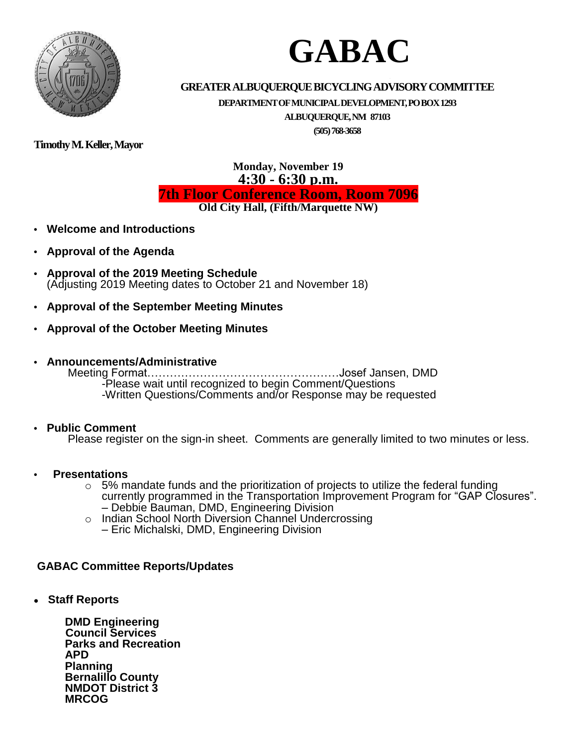

# **GABAC**

#### **GREATERALBUQUERQUEBICYCLINGADVISORYCOMMITTEE**

**DEPARTMENTOFMUNICIPALDEVELOPMENT,POBOX1293**

**ALBUQUERQUE,NM 87103**

**(505)768-3658**

**TimothyM.Keller,Mayor**

#### **Monday, November 19 4:30 - 6:30 p.m. 7th Floor Conference Room, Room 7096 Old City Hall, (Fifth/Marquette NW)**

- **• Welcome and Introductions**
- **• Approval of the Agenda**
- **• Approval of the 2019 Meeting Schedule** (Adjusting 2019 Meeting dates to October 21 and November 18)
- **• Approval of the September Meeting Minutes**
- **• Approval of the October Meeting Minutes**
- **• Announcements/Administrative**

Meeting Format……………………………………………Josef Jansen, DMD -Please wait until recognized to begin Comment/Questions -Written Questions/Comments and/or Response may be requested

#### **• Public Comment**

Please register on the sign-in sheet. Comments are generally limited to two minutes or less.

- **• Presentations**
	- $\circ$  5% mandate funds and the prioritization of projects to utilize the federal funding currently programmed in the Transportation Improvement Program for "GAP Closures". – Debbie Bauman, DMD, Engineering Division
	- o Indian School North Diversion Channel Undercrossing
		- Eric Michalski, DMD, Engineering Division

#### **GABAC Committee Reports/Updates**

**Staff Reports**

**DMD Engineering Council Services Parks and Recreation APD Planning Bernalillo County NMDOT District 3 MRCOG**